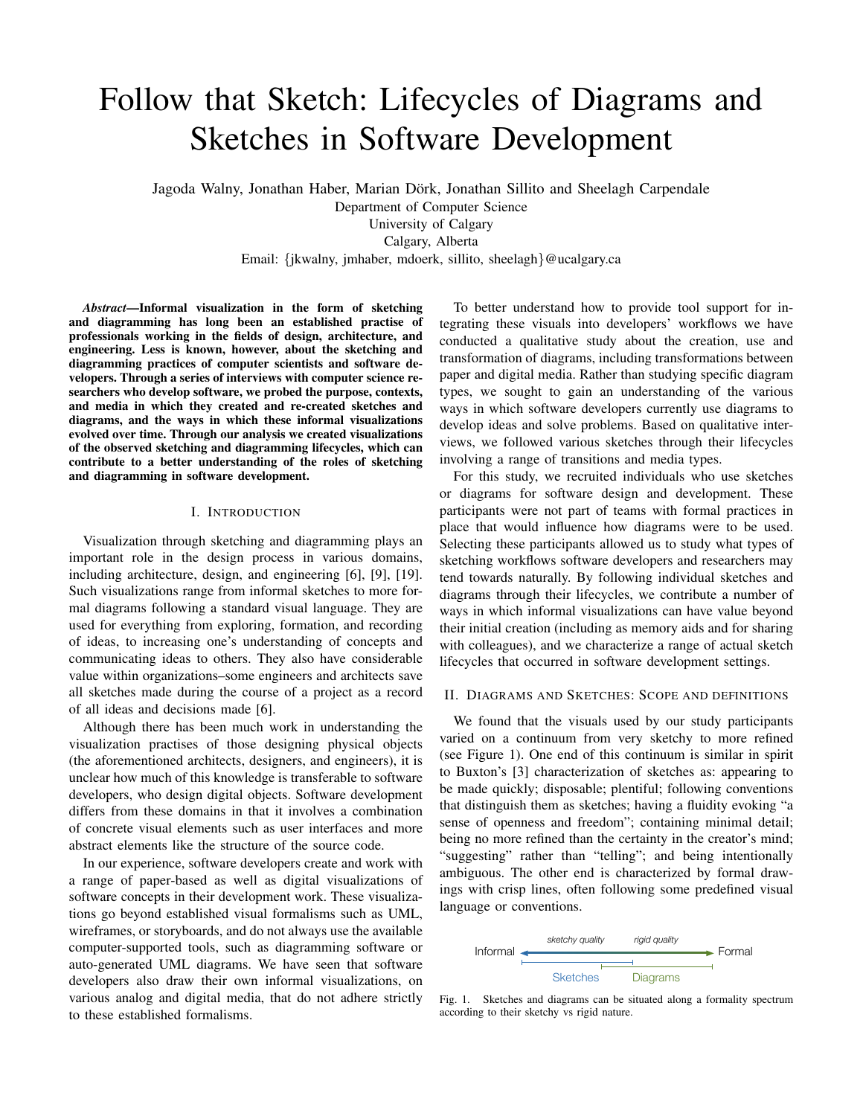# Follow that Sketch: Lifecycles of Diagrams and Sketches in Software Development

Jagoda Walny, Jonathan Haber, Marian Dörk, Jonathan Sillito and Sheelagh Carpendale

Department of Computer Science

University of Calgary

Calgary, Alberta

Email: {jkwalny, jmhaber, mdoerk, sillito, sheelagh}@ucalgary.ca

*Abstract*—Informal visualization in the form of sketching and diagramming has long been an established practise of professionals working in the fields of design, architecture, and engineering. Less is known, however, about the sketching and diagramming practices of computer scientists and software developers. Through a series of interviews with computer science researchers who develop software, we probed the purpose, contexts, and media in which they created and re-created sketches and diagrams, and the ways in which these informal visualizations evolved over time. Through our analysis we created visualizations of the observed sketching and diagramming lifecycles, which can contribute to a better understanding of the roles of sketching and diagramming in software development.

#### I. INTRODUCTION

Visualization through sketching and diagramming plays an important role in the design process in various domains, including architecture, design, and engineering [6], [9], [19]. Such visualizations range from informal sketches to more formal diagrams following a standard visual language. They are used for everything from exploring, formation, and recording of ideas, to increasing one's understanding of concepts and communicating ideas to others. They also have considerable value within organizations–some engineers and architects save all sketches made during the course of a project as a record of all ideas and decisions made [6].

Although there has been much work in understanding the visualization practises of those designing physical objects (the aforementioned architects, designers, and engineers), it is unclear how much of this knowledge is transferable to software developers, who design digital objects. Software development differs from these domains in that it involves a combination of concrete visual elements such as user interfaces and more abstract elements like the structure of the source code.

In our experience, software developers create and work with a range of paper-based as well as digital visualizations of software concepts in their development work. These visualizations go beyond established visual formalisms such as UML, wireframes, or storyboards, and do not always use the available computer-supported tools, such as diagramming software or auto-generated UML diagrams. We have seen that software developers also draw their own informal visualizations, on various analog and digital media, that do not adhere strictly to these established formalisms.

To better understand how to provide tool support for integrating these visuals into developers' workflows we have conducted a qualitative study about the creation, use and transformation of diagrams, including transformations between paper and digital media. Rather than studying specific diagram types, we sought to gain an understanding of the various ways in which software developers currently use diagrams to develop ideas and solve problems. Based on qualitative interviews, we followed various sketches through their lifecycles involving a range of transitions and media types.

For this study, we recruited individuals who use sketches or diagrams for software design and development. These participants were not part of teams with formal practices in place that would influence how diagrams were to be used. Selecting these participants allowed us to study what types of sketching workflows software developers and researchers may tend towards naturally. By following individual sketches and diagrams through their lifecycles, we contribute a number of ways in which informal visualizations can have value beyond their initial creation (including as memory aids and for sharing with colleagues), and we characterize a range of actual sketch lifecycles that occurred in software development settings.

#### II. DIAGRAMS AND SKETCHES: SCOPE AND DEFINITIONS

We found that the visuals used by our study participants varied on a continuum from very sketchy to more refined (see Figure 1). One end of this continuum is similar in spirit to Buxton's [3] characterization of sketches as: appearing to be made quickly; disposable; plentiful; following conventions that distinguish them as sketches; having a fluidity evoking "a sense of openness and freedom"; containing minimal detail; being no more refined than the certainty in the creator's mind; "suggesting" rather than "telling"; and being intentionally ambiguous. The other end is characterized by formal drawings with crisp lines, often following some predefined visual language or conventions.



Fig. 1. Sketches and diagrams can be situated along a formality spectrum according to their sketchy vs rigid nature.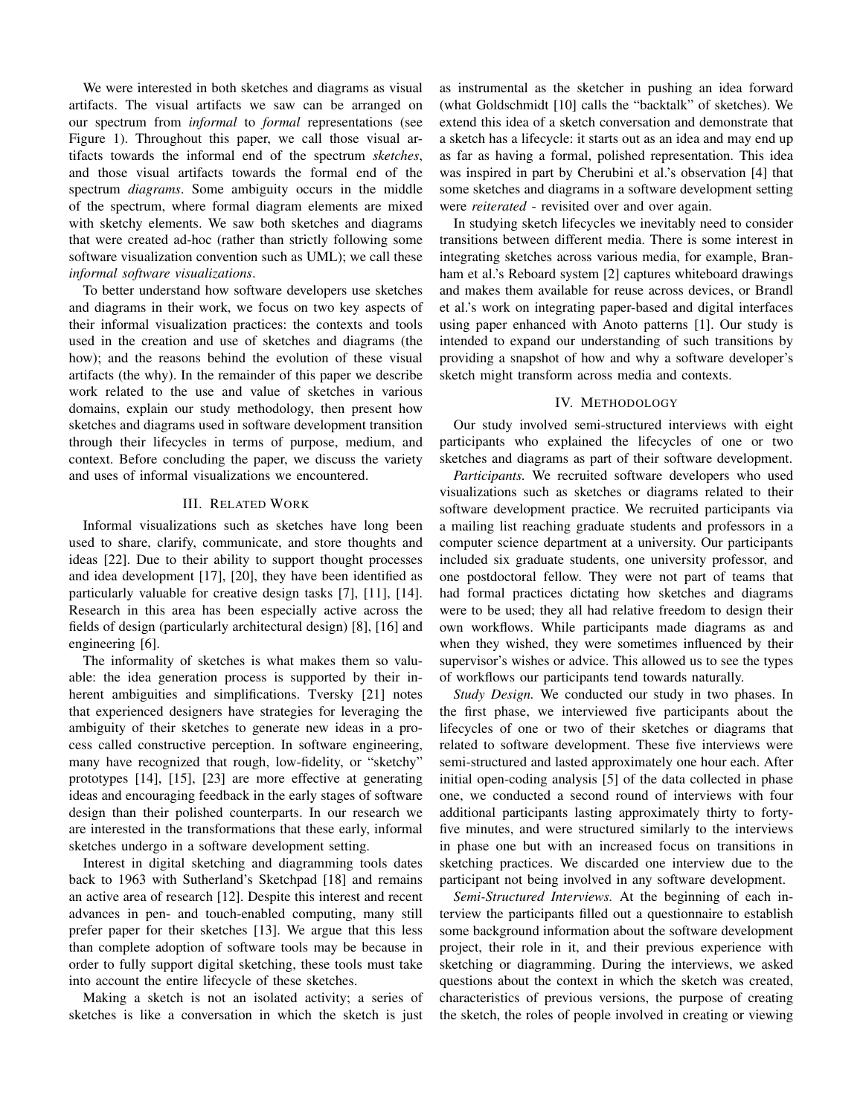We were interested in both sketches and diagrams as visual artifacts. The visual artifacts we saw can be arranged on our spectrum from *informal* to *formal* representations (see Figure 1). Throughout this paper, we call those visual artifacts towards the informal end of the spectrum *sketches*, and those visual artifacts towards the formal end of the spectrum *diagrams*. Some ambiguity occurs in the middle of the spectrum, where formal diagram elements are mixed with sketchy elements. We saw both sketches and diagrams that were created ad-hoc (rather than strictly following some software visualization convention such as UML); we call these *informal software visualizations*.

To better understand how software developers use sketches and diagrams in their work, we focus on two key aspects of their informal visualization practices: the contexts and tools used in the creation and use of sketches and diagrams (the how); and the reasons behind the evolution of these visual artifacts (the why). In the remainder of this paper we describe work related to the use and value of sketches in various domains, explain our study methodology, then present how sketches and diagrams used in software development transition through their lifecycles in terms of purpose, medium, and context. Before concluding the paper, we discuss the variety and uses of informal visualizations we encountered.

## III. RELATED WORK

Informal visualizations such as sketches have long been used to share, clarify, communicate, and store thoughts and ideas [22]. Due to their ability to support thought processes and idea development [17], [20], they have been identified as particularly valuable for creative design tasks [7], [11], [14]. Research in this area has been especially active across the fields of design (particularly architectural design) [8], [16] and engineering [6].

The informality of sketches is what makes them so valuable: the idea generation process is supported by their inherent ambiguities and simplifications. Tversky [21] notes that experienced designers have strategies for leveraging the ambiguity of their sketches to generate new ideas in a process called constructive perception. In software engineering, many have recognized that rough, low-fidelity, or "sketchy" prototypes [14], [15], [23] are more effective at generating ideas and encouraging feedback in the early stages of software design than their polished counterparts. In our research we are interested in the transformations that these early, informal sketches undergo in a software development setting.

Interest in digital sketching and diagramming tools dates back to 1963 with Sutherland's Sketchpad [18] and remains an active area of research [12]. Despite this interest and recent advances in pen- and touch-enabled computing, many still prefer paper for their sketches [13]. We argue that this less than complete adoption of software tools may be because in order to fully support digital sketching, these tools must take into account the entire lifecycle of these sketches.

Making a sketch is not an isolated activity; a series of sketches is like a conversation in which the sketch is just as instrumental as the sketcher in pushing an idea forward (what Goldschmidt [10] calls the "backtalk" of sketches). We extend this idea of a sketch conversation and demonstrate that a sketch has a lifecycle: it starts out as an idea and may end up as far as having a formal, polished representation. This idea was inspired in part by Cherubini et al.'s observation [4] that some sketches and diagrams in a software development setting were *reiterated* - revisited over and over again.

In studying sketch lifecycles we inevitably need to consider transitions between different media. There is some interest in integrating sketches across various media, for example, Branham et al.'s Reboard system [2] captures whiteboard drawings and makes them available for reuse across devices, or Brandl et al.'s work on integrating paper-based and digital interfaces using paper enhanced with Anoto patterns [1]. Our study is intended to expand our understanding of such transitions by providing a snapshot of how and why a software developer's sketch might transform across media and contexts.

#### IV. METHODOLOGY

Our study involved semi-structured interviews with eight participants who explained the lifecycles of one or two sketches and diagrams as part of their software development.

*Participants.* We recruited software developers who used visualizations such as sketches or diagrams related to their software development practice. We recruited participants via a mailing list reaching graduate students and professors in a computer science department at a university. Our participants included six graduate students, one university professor, and one postdoctoral fellow. They were not part of teams that had formal practices dictating how sketches and diagrams were to be used; they all had relative freedom to design their own workflows. While participants made diagrams as and when they wished, they were sometimes influenced by their supervisor's wishes or advice. This allowed us to see the types of workflows our participants tend towards naturally.

*Study Design.* We conducted our study in two phases. In the first phase, we interviewed five participants about the lifecycles of one or two of their sketches or diagrams that related to software development. These five interviews were semi-structured and lasted approximately one hour each. After initial open-coding analysis [5] of the data collected in phase one, we conducted a second round of interviews with four additional participants lasting approximately thirty to fortyfive minutes, and were structured similarly to the interviews in phase one but with an increased focus on transitions in sketching practices. We discarded one interview due to the participant not being involved in any software development.

*Semi-Structured Interviews.* At the beginning of each interview the participants filled out a questionnaire to establish some background information about the software development project, their role in it, and their previous experience with sketching or diagramming. During the interviews, we asked questions about the context in which the sketch was created, characteristics of previous versions, the purpose of creating the sketch, the roles of people involved in creating or viewing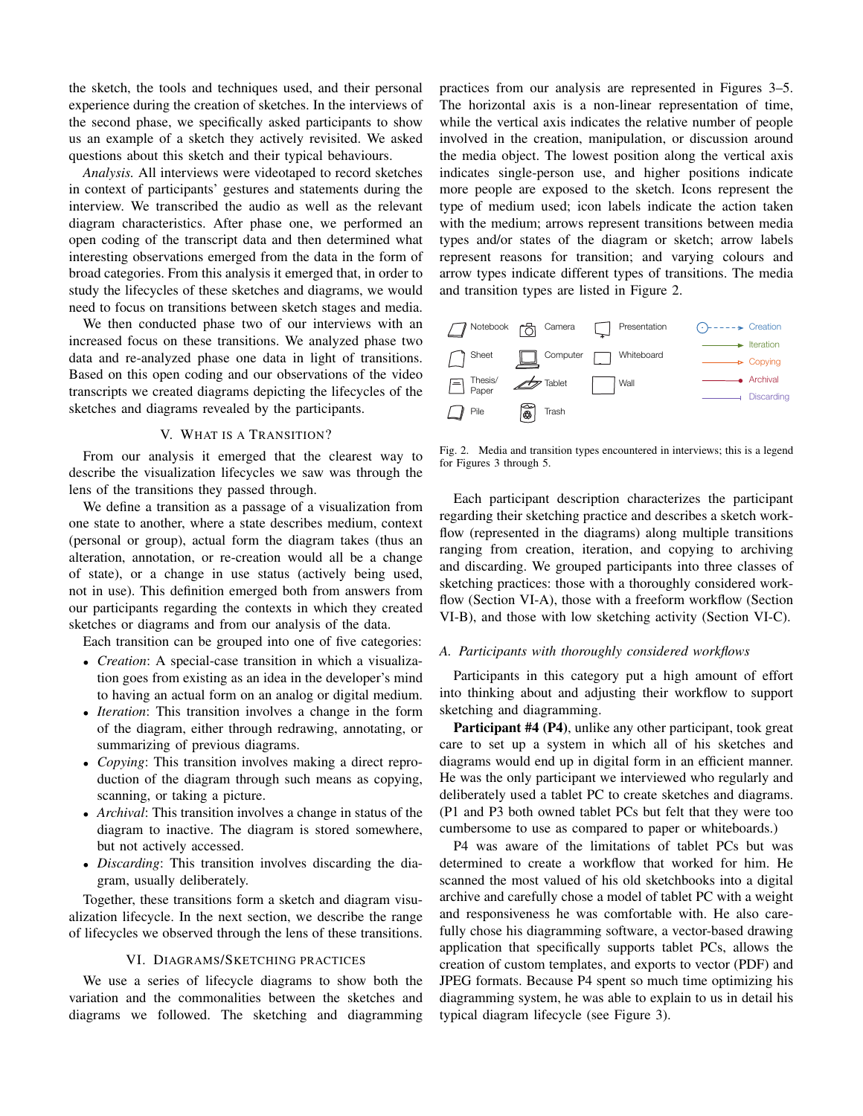the sketch, the tools and techniques used, and their personal experience during the creation of sketches. In the interviews of the second phase, we specifically asked participants to show us an example of a sketch they actively revisited. We asked questions about this sketch and their typical behaviours.

*Analysis.* All interviews were videotaped to record sketches in context of participants' gestures and statements during the interview. We transcribed the audio as well as the relevant diagram characteristics. After phase one, we performed an open coding of the transcript data and then determined what interesting observations emerged from the data in the form of broad categories. From this analysis it emerged that, in order to study the lifecycles of these sketches and diagrams, we would need to focus on transitions between sketch stages and media.

We then conducted phase two of our interviews with an increased focus on these transitions. We analyzed phase two data and re-analyzed phase one data in light of transitions. Based on this open coding and our observations of the video transcripts we created diagrams depicting the lifecycles of the sketches and diagrams revealed by the participants.

## V. WHAT IS A TRANSITION?

From our analysis it emerged that the clearest way to describe the visualization lifecycles we saw was through the lens of the transitions they passed through.

We define a transition as a passage of a visualization from one state to another, where a state describes medium, context (personal or group), actual form the diagram takes (thus an alteration, annotation, or re-creation would all be a change of state), or a change in use status (actively being used, not in use). This definition emerged both from answers from our participants regarding the contexts in which they created sketches or diagrams and from our analysis of the data.

Each transition can be grouped into one of five categories:

- *Creation*: A special-case transition in which a visualization goes from existing as an idea in the developer's mind to having an actual form on an analog or digital medium.
- *Iteration*: This transition involves a change in the form of the diagram, either through redrawing, annotating, or summarizing of previous diagrams.
- *Copying*: This transition involves making a direct reproduction of the diagram through such means as copying, scanning, or taking a picture.
- *Archival*: This transition involves a change in status of the diagram to inactive. The diagram is stored somewhere, but not actively accessed.
- *Discarding*: This transition involves discarding the diagram, usually deliberately.

Together, these transitions form a sketch and diagram visualization lifecycle. In the next section, we describe the range of lifecycles we observed through the lens of these transitions.

#### VI. DIAGRAMS/SKETCHING PRACTICES

We use a series of lifecycle diagrams to show both the variation and the commonalities between the sketches and diagrams we followed. The sketching and diagramming practices from our analysis are represented in Figures 3–5. The horizontal axis is a non-linear representation of time, while the vertical axis indicates the relative number of people involved in the creation, manipulation, or discussion around the media object. The lowest position along the vertical axis indicates single-person use, and higher positions indicate more people are exposed to the sketch. Icons represent the type of medium used; icon labels indicate the action taken with the medium; arrows represent transitions between media types and/or states of the diagram or sketch; arrow labels represent reasons for transition; and varying colours and arrow types indicate different types of transitions. The media and transition types are listed in Figure 2.



Fig. 2. Media and transition types encountered in interviews; this is a legend for Figures 3 through 5.

Each participant description characterizes the participant regarding their sketching practice and describes a sketch workflow (represented in the diagrams) along multiple transitions ranging from creation, iteration, and copying to archiving and discarding. We grouped participants into three classes of sketching practices: those with a thoroughly considered workflow (Section VI-A), those with a freeform workflow (Section VI-B), and those with low sketching activity (Section VI-C).

#### *A. Participants with thoroughly considered workflows*

Participants in this category put a high amount of effort into thinking about and adjusting their workflow to support sketching and diagramming.

Participant #4 (P4), unlike any other participant, took great care to set up a system in which all of his sketches and diagrams would end up in digital form in an efficient manner. He was the only participant we interviewed who regularly and deliberately used a tablet PC to create sketches and diagrams. (P1 and P3 both owned tablet PCs but felt that they were too cumbersome to use as compared to paper or whiteboards.)

P4 was aware of the limitations of tablet PCs but was determined to create a workflow that worked for him. He scanned the most valued of his old sketchbooks into a digital archive and carefully chose a model of tablet PC with a weight and responsiveness he was comfortable with. He also carefully chose his diagramming software, a vector-based drawing application that specifically supports tablet PCs, allows the creation of custom templates, and exports to vector (PDF) and JPEG formats. Because P4 spent so much time optimizing his diagramming system, he was able to explain to us in detail his typical diagram lifecycle (see Figure 3).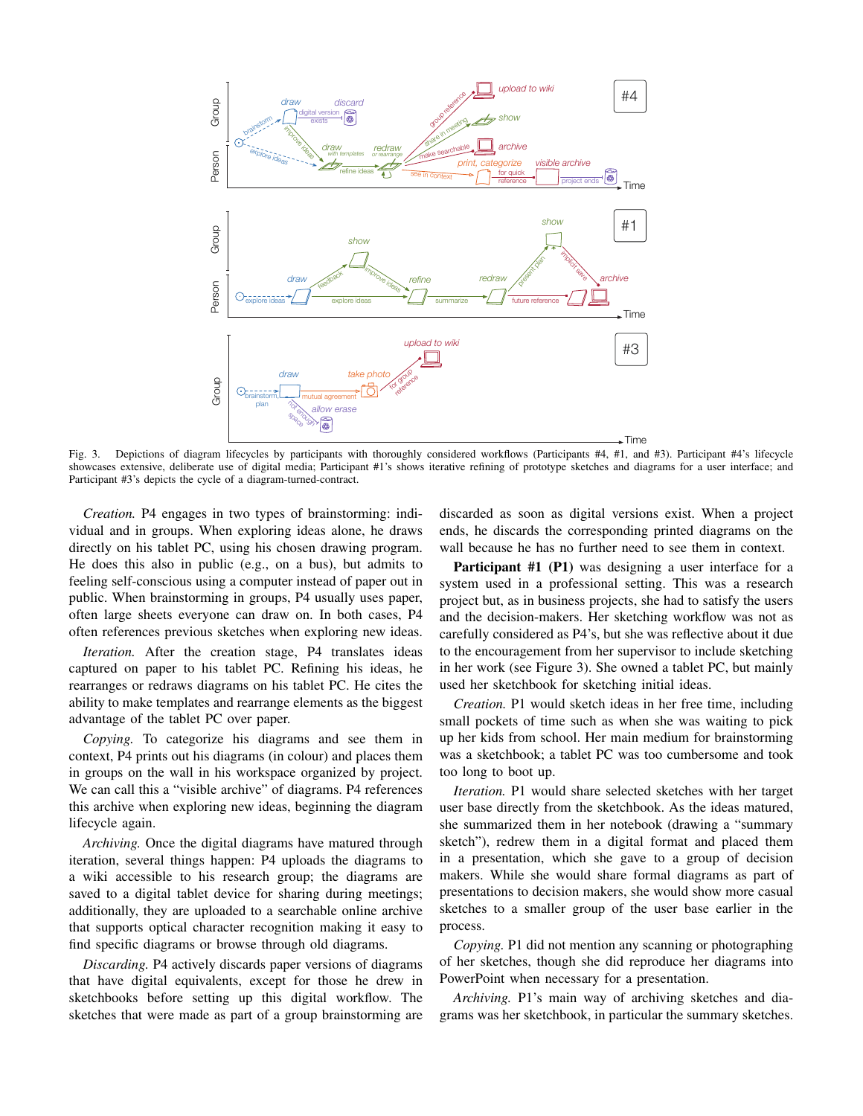

Fig. 3. Depictions of diagram lifecycles by participants with thoroughly considered workflows (Participants #4, #1, and #3). Participant #4's lifecycle showcases extensive, deliberate use of digital media; Participant #1's shows iterative refining of prototype sketches and diagrams for a user interface; and Participant #3's depicts the cycle of a diagram-turned-contract.

*Creation.* P4 engages in two types of brainstorming: individual and in groups. When exploring ideas alone, he draws directly on his tablet PC, using his chosen drawing program. He does this also in public (e.g., on a bus), but admits to feeling self-conscious using a computer instead of paper out in public. When brainstorming in groups, P4 usually uses paper, often large sheets everyone can draw on. In both cases, P4 often references previous sketches when exploring new ideas.

*Iteration.* After the creation stage, P4 translates ideas captured on paper to his tablet PC. Refining his ideas, he rearranges or redraws diagrams on his tablet PC. He cites the ability to make templates and rearrange elements as the biggest advantage of the tablet PC over paper.

*Copying.* To categorize his diagrams and see them in context, P4 prints out his diagrams (in colour) and places them in groups on the wall in his workspace organized by project. We can call this a "visible archive" of diagrams. P4 references this archive when exploring new ideas, beginning the diagram lifecycle again.

*Archiving.* Once the digital diagrams have matured through iteration, several things happen: P4 uploads the diagrams to a wiki accessible to his research group; the diagrams are saved to a digital tablet device for sharing during meetings; additionally, they are uploaded to a searchable online archive that supports optical character recognition making it easy to find specific diagrams or browse through old diagrams.

*Discarding.* P4 actively discards paper versions of diagrams that have digital equivalents, except for those he drew in sketchbooks before setting up this digital workflow. The sketches that were made as part of a group brainstorming are discarded as soon as digital versions exist. When a project ends, he discards the corresponding printed diagrams on the wall because he has no further need to see them in context.

Participant #1 (P1) was designing a user interface for a system used in a professional setting. This was a research project but, as in business projects, she had to satisfy the users and the decision-makers. Her sketching workflow was not as carefully considered as P4's, but she was reflective about it due to the encouragement from her supervisor to include sketching in her work (see Figure 3). She owned a tablet PC, but mainly used her sketchbook for sketching initial ideas.

*Creation.* P1 would sketch ideas in her free time, including small pockets of time such as when she was waiting to pick up her kids from school. Her main medium for brainstorming was a sketchbook; a tablet PC was too cumbersome and took too long to boot up.

*Iteration.* P1 would share selected sketches with her target user base directly from the sketchbook. As the ideas matured, she summarized them in her notebook (drawing a "summary sketch"), redrew them in a digital format and placed them in a presentation, which she gave to a group of decision makers. While she would share formal diagrams as part of presentations to decision makers, she would show more casual sketches to a smaller group of the user base earlier in the process.

*Copying.* P1 did not mention any scanning or photographing of her sketches, though she did reproduce her diagrams into PowerPoint when necessary for a presentation.

*Archiving.* P1's main way of archiving sketches and diagrams was her sketchbook, in particular the summary sketches.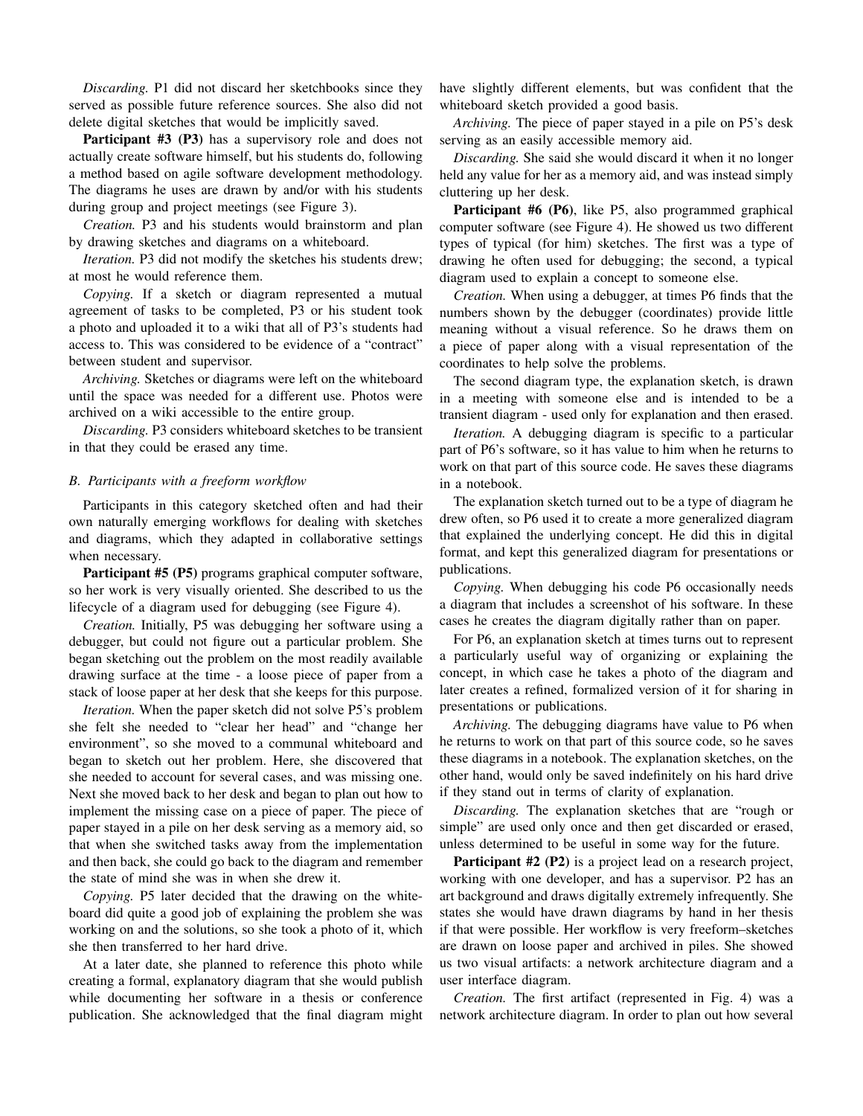*Discarding.* P1 did not discard her sketchbooks since they served as possible future reference sources. She also did not delete digital sketches that would be implicitly saved.

Participant #3 (P3) has a supervisory role and does not actually create software himself, but his students do, following a method based on agile software development methodology. The diagrams he uses are drawn by and/or with his students during group and project meetings (see Figure 3).

*Creation.* P3 and his students would brainstorm and plan by drawing sketches and diagrams on a whiteboard.

*Iteration.* P3 did not modify the sketches his students drew; at most he would reference them.

*Copying.* If a sketch or diagram represented a mutual agreement of tasks to be completed, P3 or his student took a photo and uploaded it to a wiki that all of P3's students had access to. This was considered to be evidence of a "contract" between student and supervisor.

*Archiving.* Sketches or diagrams were left on the whiteboard until the space was needed for a different use. Photos were archived on a wiki accessible to the entire group.

*Discarding.* P3 considers whiteboard sketches to be transient in that they could be erased any time.

## *B. Participants with a freeform workflow*

Participants in this category sketched often and had their own naturally emerging workflows for dealing with sketches and diagrams, which they adapted in collaborative settings when necessary.

Participant #5 (P5) programs graphical computer software, so her work is very visually oriented. She described to us the lifecycle of a diagram used for debugging (see Figure 4).

*Creation.* Initially, P5 was debugging her software using a debugger, but could not figure out a particular problem. She began sketching out the problem on the most readily available drawing surface at the time - a loose piece of paper from a stack of loose paper at her desk that she keeps for this purpose.

*Iteration.* When the paper sketch did not solve P5's problem she felt she needed to "clear her head" and "change her environment", so she moved to a communal whiteboard and began to sketch out her problem. Here, she discovered that she needed to account for several cases, and was missing one. Next she moved back to her desk and began to plan out how to implement the missing case on a piece of paper. The piece of paper stayed in a pile on her desk serving as a memory aid, so that when she switched tasks away from the implementation and then back, she could go back to the diagram and remember the state of mind she was in when she drew it.

*Copying.* P5 later decided that the drawing on the whiteboard did quite a good job of explaining the problem she was working on and the solutions, so she took a photo of it, which she then transferred to her hard drive.

At a later date, she planned to reference this photo while creating a formal, explanatory diagram that she would publish while documenting her software in a thesis or conference publication. She acknowledged that the final diagram might have slightly different elements, but was confident that the whiteboard sketch provided a good basis.

*Archiving.* The piece of paper stayed in a pile on P5's desk serving as an easily accessible memory aid.

*Discarding.* She said she would discard it when it no longer held any value for her as a memory aid, and was instead simply cluttering up her desk.

Participant #6 (P6), like P5, also programmed graphical computer software (see Figure 4). He showed us two different types of typical (for him) sketches. The first was a type of drawing he often used for debugging; the second, a typical diagram used to explain a concept to someone else.

*Creation.* When using a debugger, at times P6 finds that the numbers shown by the debugger (coordinates) provide little meaning without a visual reference. So he draws them on a piece of paper along with a visual representation of the coordinates to help solve the problems.

The second diagram type, the explanation sketch, is drawn in a meeting with someone else and is intended to be a transient diagram - used only for explanation and then erased.

*Iteration.* A debugging diagram is specific to a particular part of P6's software, so it has value to him when he returns to work on that part of this source code. He saves these diagrams in a notebook.

The explanation sketch turned out to be a type of diagram he drew often, so P6 used it to create a more generalized diagram that explained the underlying concept. He did this in digital format, and kept this generalized diagram for presentations or publications.

*Copying.* When debugging his code P6 occasionally needs a diagram that includes a screenshot of his software. In these cases he creates the diagram digitally rather than on paper.

For P6, an explanation sketch at times turns out to represent a particularly useful way of organizing or explaining the concept, in which case he takes a photo of the diagram and later creates a refined, formalized version of it for sharing in presentations or publications.

*Archiving.* The debugging diagrams have value to P6 when he returns to work on that part of this source code, so he saves these diagrams in a notebook. The explanation sketches, on the other hand, would only be saved indefinitely on his hard drive if they stand out in terms of clarity of explanation.

*Discarding.* The explanation sketches that are "rough or simple" are used only once and then get discarded or erased, unless determined to be useful in some way for the future.

Participant #2 (P2) is a project lead on a research project, working with one developer, and has a supervisor. P2 has an art background and draws digitally extremely infrequently. She states she would have drawn diagrams by hand in her thesis if that were possible. Her workflow is very freeform–sketches are drawn on loose paper and archived in piles. She showed us two visual artifacts: a network architecture diagram and a user interface diagram.

*Creation.* The first artifact (represented in Fig. 4) was a network architecture diagram. In order to plan out how several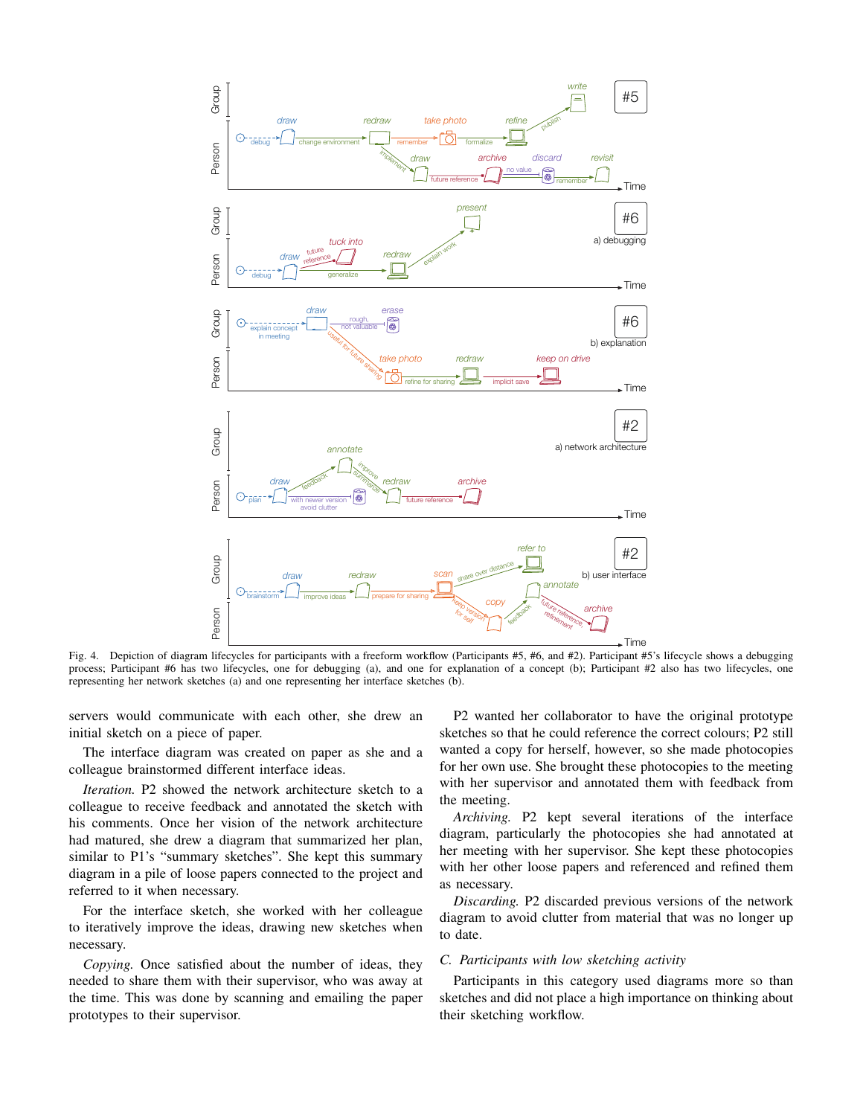

Fig. 4. Depiction of diagram lifecycles for participants with a freeform workflow (Participants #5, #6, and #2). Participant #5's lifecycle shows a debugging process; Participant #6 has two lifecycles, one for debugging (a), and one for explanation of a concept (b); Participant #2 also has two lifecycles, one representing her network sketches (a) and one representing her interface sketches (b).

servers would communicate with each other, she drew an initial sketch on a piece of paper.

The interface diagram was created on paper as she and a colleague brainstormed different interface ideas.

*Iteration.* P2 showed the network architecture sketch to a colleague to receive feedback and annotated the sketch with his comments. Once her vision of the network architecture had matured, she drew a diagram that summarized her plan, similar to P1's "summary sketches". She kept this summary diagram in a pile of loose papers connected to the project and referred to it when necessary.

For the interface sketch, she worked with her colleague to iteratively improve the ideas, drawing new sketches when necessary.

*Copying.* Once satisfied about the number of ideas, they needed to share them with their supervisor, who was away at the time. This was done by scanning and emailing the paper prototypes to their supervisor.

P2 wanted her collaborator to have the original prototype sketches so that he could reference the correct colours; P2 still wanted a copy for herself, however, so she made photocopies for her own use. She brought these photocopies to the meeting with her supervisor and annotated them with feedback from the meeting.

*Archiving.* P2 kept several iterations of the interface diagram, particularly the photocopies she had annotated at her meeting with her supervisor. She kept these photocopies with her other loose papers and referenced and refined them as necessary.

*Discarding.* P2 discarded previous versions of the network diagram to avoid clutter from material that was no longer up to date.

## *C. Participants with low sketching activity*

Participants in this category used diagrams more so than sketches and did not place a high importance on thinking about their sketching workflow.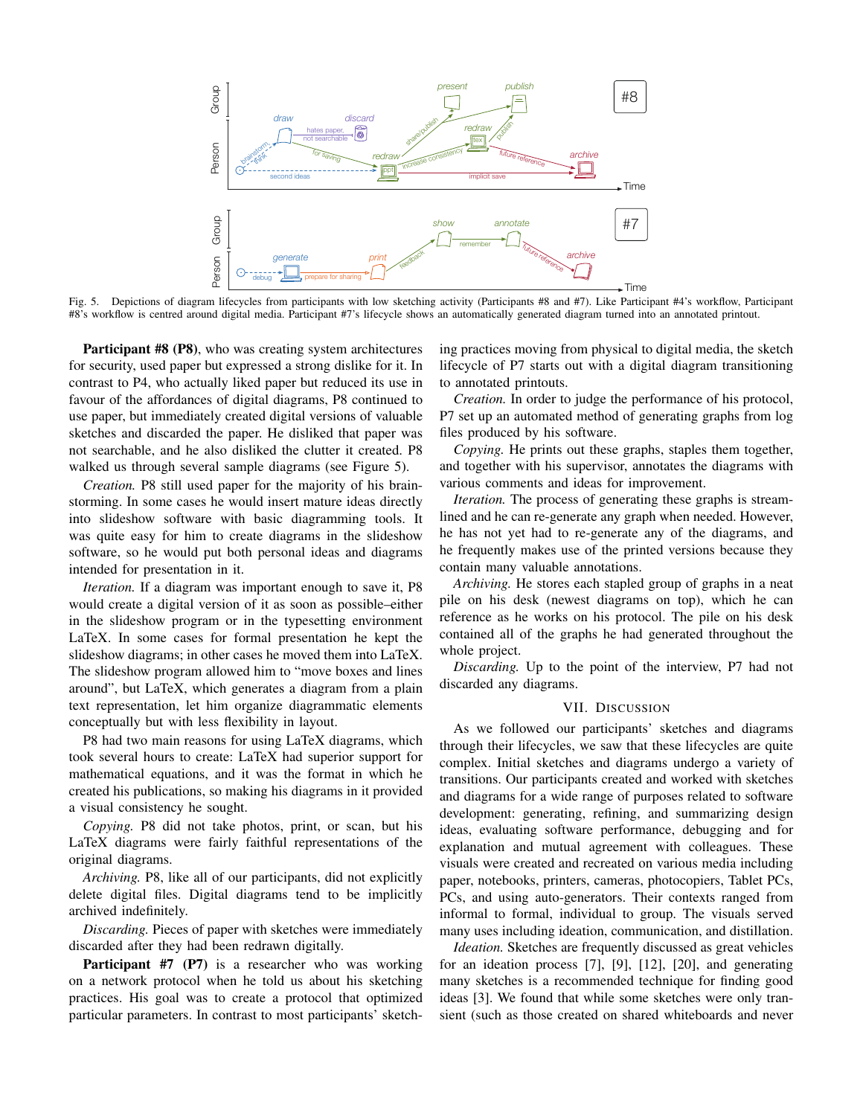

Fig. 5. Depictions of diagram lifecycles from participants with low sketching activity (Participants #8 and #7). Like Participant #4's workflow, Participant #8's workflow is centred around digital media. Participant #7's lifecycle shows an automatically generated diagram turned into an annotated printout.

Participant #8 (P8), who was creating system architectures for security, used paper but expressed a strong dislike for it. In contrast to P4, who actually liked paper but reduced its use in favour of the affordances of digital diagrams, P8 continued to use paper, but immediately created digital versions of valuable sketches and discarded the paper. He disliked that paper was not searchable, and he also disliked the clutter it created. P8 walked us through several sample diagrams (see Figure 5).

*Creation.* P8 still used paper for the majority of his brainstorming. In some cases he would insert mature ideas directly into slideshow software with basic diagramming tools. It was quite easy for him to create diagrams in the slideshow software, so he would put both personal ideas and diagrams intended for presentation in it.

*Iteration.* If a diagram was important enough to save it, P8 would create a digital version of it as soon as possible–either in the slideshow program or in the typesetting environment LaTeX. In some cases for formal presentation he kept the slideshow diagrams; in other cases he moved them into LaTeX. The slideshow program allowed him to "move boxes and lines around", but LaTeX, which generates a diagram from a plain text representation, let him organize diagrammatic elements conceptually but with less flexibility in layout.

P8 had two main reasons for using LaTeX diagrams, which took several hours to create: LaTeX had superior support for mathematical equations, and it was the format in which he created his publications, so making his diagrams in it provided a visual consistency he sought.

*Copying.* P8 did not take photos, print, or scan, but his LaTeX diagrams were fairly faithful representations of the original diagrams.

*Archiving.* P8, like all of our participants, did not explicitly delete digital files. Digital diagrams tend to be implicitly archived indefinitely.

*Discarding.* Pieces of paper with sketches were immediately discarded after they had been redrawn digitally.

Participant #7 (P7) is a researcher who was working on a network protocol when he told us about his sketching practices. His goal was to create a protocol that optimized particular parameters. In contrast to most participants' sketching practices moving from physical to digital media, the sketch lifecycle of P7 starts out with a digital diagram transitioning to annotated printouts.

*Creation.* In order to judge the performance of his protocol, P7 set up an automated method of generating graphs from log files produced by his software.

*Copying.* He prints out these graphs, staples them together, and together with his supervisor, annotates the diagrams with various comments and ideas for improvement.

*Iteration.* The process of generating these graphs is streamlined and he can re-generate any graph when needed. However, he has not yet had to re-generate any of the diagrams, and he frequently makes use of the printed versions because they contain many valuable annotations.

*Archiving.* He stores each stapled group of graphs in a neat pile on his desk (newest diagrams on top), which he can reference as he works on his protocol. The pile on his desk contained all of the graphs he had generated throughout the whole project.

*Discarding.* Up to the point of the interview, P7 had not discarded any diagrams.

#### VII. DISCUSSION

As we followed our participants' sketches and diagrams through their lifecycles, we saw that these lifecycles are quite complex. Initial sketches and diagrams undergo a variety of transitions. Our participants created and worked with sketches and diagrams for a wide range of purposes related to software development: generating, refining, and summarizing design ideas, evaluating software performance, debugging and for explanation and mutual agreement with colleagues. These visuals were created and recreated on various media including paper, notebooks, printers, cameras, photocopiers, Tablet PCs, PCs, and using auto-generators. Their contexts ranged from informal to formal, individual to group. The visuals served many uses including ideation, communication, and distillation.

*Ideation.* Sketches are frequently discussed as great vehicles for an ideation process [7], [9], [12], [20], and generating many sketches is a recommended technique for finding good ideas [3]. We found that while some sketches were only transient (such as those created on shared whiteboards and never